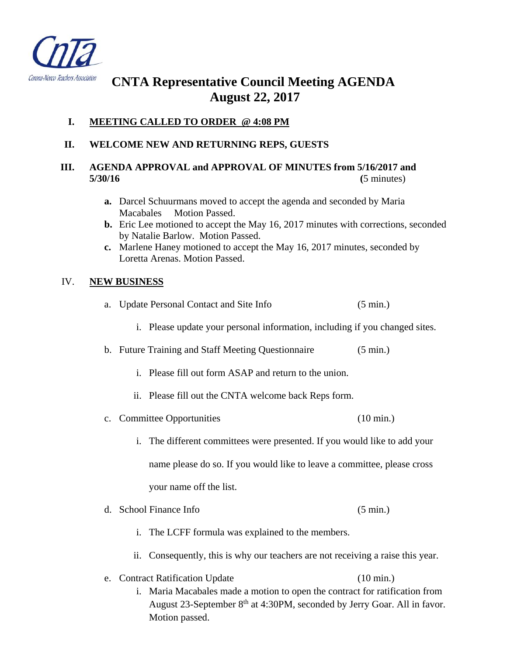

# **CNTA Representative Council Meeting AGENDA August 22, 2017**

## **I. MEETING CALLED TO ORDER @ 4:08 PM**

### **II. WELCOME NEW AND RETURNING REPS, GUESTS**

#### **III. AGENDA APPROVAL and APPROVAL OF MINUTES from 5/16/2017 and 5/30/16 (**5 minutes)

- **a.** Darcel Schuurmans moved to accept the agenda and seconded by Maria Macabales Motion Passed.
- **b.** Eric Lee motioned to accept the May 16, 2017 minutes with corrections, seconded by Natalie Barlow. Motion Passed.
- **c.** Marlene Haney motioned to accept the May 16, 2017 minutes, seconded by Loretta Arenas. Motion Passed.

#### IV. **NEW BUSINESS**

- a. Update Personal Contact and Site Info (5 min.)
	- i. Please update your personal information, including if you changed sites.

## b. Future Training and Staff Meeting Questionnaire (5 min.)

- i. Please fill out form ASAP and return to the union.
- ii. Please fill out the CNTA welcome back Reps form.
- c. Committee Opportunities (10 min.)
	- i. The different committees were presented. If you would like to add your name please do so. If you would like to leave a committee, please cross your name off the list.
- d. School Finance Info (5 min.)
	- i. The LCFF formula was explained to the members.
	- ii. Consequently, this is why our teachers are not receiving a raise this year.
- e. Contract Ratification Update (10 min.)
	- i. Maria Macabales made a motion to open the contract for ratification from August 23-September 8<sup>th</sup> at 4:30PM, seconded by Jerry Goar. All in favor. Motion passed.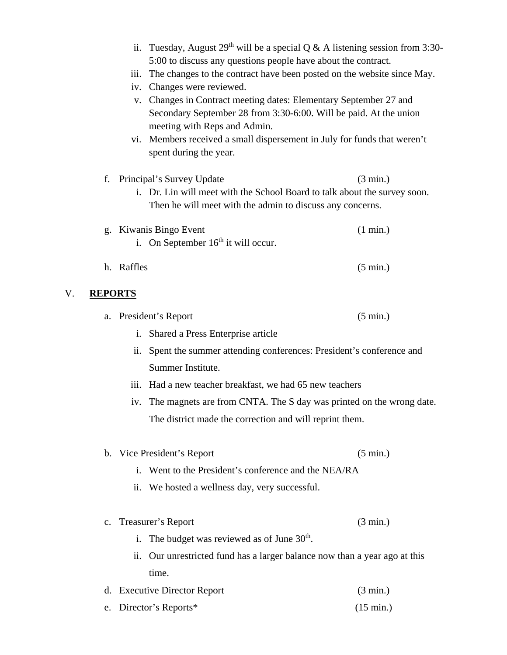|                                                                           |                                                                         | iii.       | ii. Tuesday, August 29 <sup>th</sup> will be a special Q & A listening session from 3:30-<br>5:00 to discuss any questions people have about the contract.<br>The changes to the contract have been posted on the website since May.<br>iv. Changes were reviewed.<br>v. Changes in Contract meeting dates: Elementary September 27 and<br>Secondary September 28 from 3:30-6:00. Will be paid. At the union<br>meeting with Reps and Admin.<br>vi. Members received a small dispersement in July for funds that weren't<br>spent during the year. |                    |  |
|---------------------------------------------------------------------------|-------------------------------------------------------------------------|------------|----------------------------------------------------------------------------------------------------------------------------------------------------------------------------------------------------------------------------------------------------------------------------------------------------------------------------------------------------------------------------------------------------------------------------------------------------------------------------------------------------------------------------------------------------|--------------------|--|
|                                                                           | f.                                                                      |            | Principal's Survey Update                                                                                                                                                                                                                                                                                                                                                                                                                                                                                                                          | $(3 \text{ min.})$ |  |
| i. Dr. Lin will meet with the School Board to talk about the survey soon. |                                                                         |            |                                                                                                                                                                                                                                                                                                                                                                                                                                                                                                                                                    |                    |  |
|                                                                           |                                                                         |            | Then he will meet with the admin to discuss any concerns.                                                                                                                                                                                                                                                                                                                                                                                                                                                                                          |                    |  |
|                                                                           |                                                                         |            | g. Kiwanis Bingo Event<br>i. On September $16th$ it will occur.                                                                                                                                                                                                                                                                                                                                                                                                                                                                                    | $(1 \text{ min.})$ |  |
|                                                                           |                                                                         | h. Raffles |                                                                                                                                                                                                                                                                                                                                                                                                                                                                                                                                                    | $(5 \text{ min.})$ |  |
| V.                                                                        | <b>REPORTS</b>                                                          |            |                                                                                                                                                                                                                                                                                                                                                                                                                                                                                                                                                    |                    |  |
|                                                                           |                                                                         |            | a. President's Report                                                                                                                                                                                                                                                                                                                                                                                                                                                                                                                              | $(5 \text{ min.})$ |  |
|                                                                           |                                                                         | i.         | Shared a Press Enterprise article                                                                                                                                                                                                                                                                                                                                                                                                                                                                                                                  |                    |  |
|                                                                           |                                                                         | ii.        | Spent the summer attending conferences: President's conference and                                                                                                                                                                                                                                                                                                                                                                                                                                                                                 |                    |  |
|                                                                           |                                                                         |            | Summer Institute.                                                                                                                                                                                                                                                                                                                                                                                                                                                                                                                                  |                    |  |
|                                                                           |                                                                         | 111.       | Had a new teacher breakfast, we had 65 new teachers                                                                                                                                                                                                                                                                                                                                                                                                                                                                                                |                    |  |
|                                                                           | iv. The magnets are from CNTA. The S day was printed on the wrong date. |            |                                                                                                                                                                                                                                                                                                                                                                                                                                                                                                                                                    |                    |  |
|                                                                           |                                                                         |            | The district made the correction and will reprint them.                                                                                                                                                                                                                                                                                                                                                                                                                                                                                            |                    |  |
|                                                                           |                                                                         |            |                                                                                                                                                                                                                                                                                                                                                                                                                                                                                                                                                    |                    |  |
|                                                                           |                                                                         |            | b. Vice President's Report                                                                                                                                                                                                                                                                                                                                                                                                                                                                                                                         | $(5 \text{ min.})$ |  |
|                                                                           |                                                                         |            | i. Went to the President's conference and the NEA/RA                                                                                                                                                                                                                                                                                                                                                                                                                                                                                               |                    |  |
|                                                                           |                                                                         | ii.        | We hosted a wellness day, very successful.                                                                                                                                                                                                                                                                                                                                                                                                                                                                                                         |                    |  |
|                                                                           | $c_{\cdot}$                                                             |            | Treasurer's Report                                                                                                                                                                                                                                                                                                                                                                                                                                                                                                                                 | $(3 \text{ min.})$ |  |
|                                                                           |                                                                         | i.         | The budget was reviewed as of June 30 <sup>th</sup> .                                                                                                                                                                                                                                                                                                                                                                                                                                                                                              |                    |  |
|                                                                           |                                                                         | ii.        | Our unrestricted fund has a larger balance now than a year ago at this                                                                                                                                                                                                                                                                                                                                                                                                                                                                             |                    |  |
|                                                                           |                                                                         |            | time.                                                                                                                                                                                                                                                                                                                                                                                                                                                                                                                                              |                    |  |
|                                                                           | d.                                                                      |            | <b>Executive Director Report</b>                                                                                                                                                                                                                                                                                                                                                                                                                                                                                                                   | $(3 \text{ min.})$ |  |

e. Director's Reports\* (15 min.)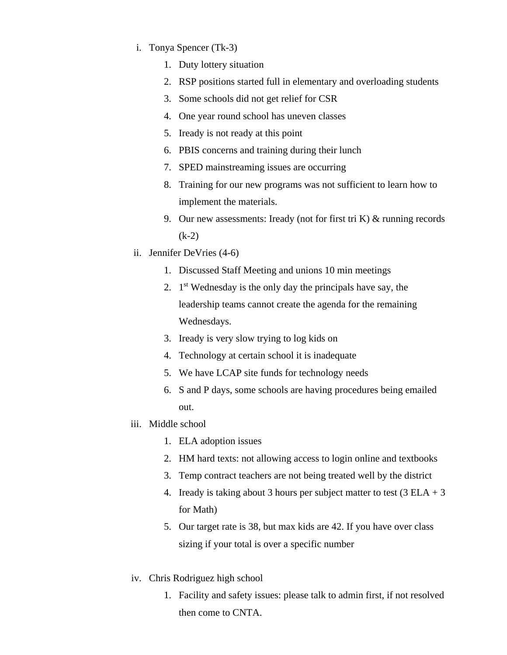- i. Tonya Spencer (Tk-3)
	- 1. Duty lottery situation
	- 2. RSP positions started full in elementary and overloading students
	- 3. Some schools did not get relief for CSR
	- 4. One year round school has uneven classes
	- 5. Iready is not ready at this point
	- 6. PBIS concerns and training during their lunch
	- 7. SPED mainstreaming issues are occurring
	- 8. Training for our new programs was not sufficient to learn how to implement the materials.
	- 9. Our new assessments: Iready (not for first tri K)  $&$  running records (k-2)
- ii. Jennifer DeVries (4-6)
	- 1. Discussed Staff Meeting and unions 10 min meetings
	- 2.  $1<sup>st</sup>$  Wednesday is the only day the principals have say, the leadership teams cannot create the agenda for the remaining Wednesdays.
	- 3. Iready is very slow trying to log kids on
	- 4. Technology at certain school it is inadequate
	- 5. We have LCAP site funds for technology needs
	- 6. S and P days, some schools are having procedures being emailed out.
- iii. Middle school
	- 1. ELA adoption issues
	- 2. HM hard texts: not allowing access to login online and textbooks
	- 3. Temp contract teachers are not being treated well by the district
	- 4. Iready is taking about 3 hours per subject matter to test  $(3 ELA + 3$ for Math)
	- 5. Our target rate is 38, but max kids are 42. If you have over class sizing if your total is over a specific number
- iv. Chris Rodriguez high school
	- 1. Facility and safety issues: please talk to admin first, if not resolved then come to CNTA.